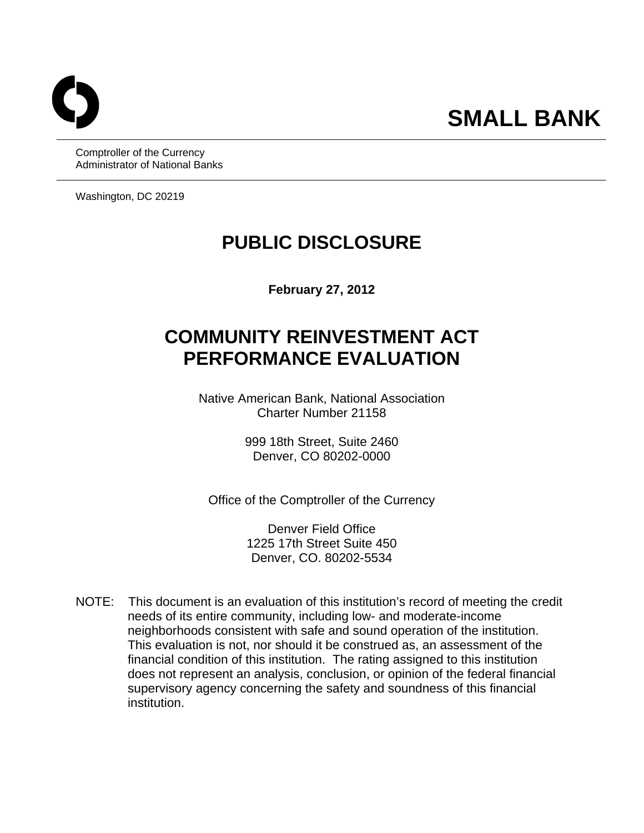Comptroller of the Currency Administrator of National Banks

Washington, DC 20219

# **PUBLIC DISCLOSURE**

**February 27, 2012** 

# **COMMUNITY REINVESTMENT ACT PERFORMANCE EVALUATION**

Native American Bank, National Association Charter Number 21158

> 999 18th Street, Suite 2460 Denver, CO 80202-0000

Office of the Comptroller of the Currency

Denver Field Office 1225 17th Street Suite 450 Denver, CO. 80202-5534

 NOTE: This document is an evaluation of this institution's record of meeting the credit needs of its entire community, including low- and moderate-income neighborhoods consistent with safe and sound operation of the institution. This evaluation is not, nor should it be construed as, an assessment of the financial condition of this institution. The rating assigned to this institution does not represent an analysis, conclusion, or opinion of the federal financial supervisory agency concerning the safety and soundness of this financial institution.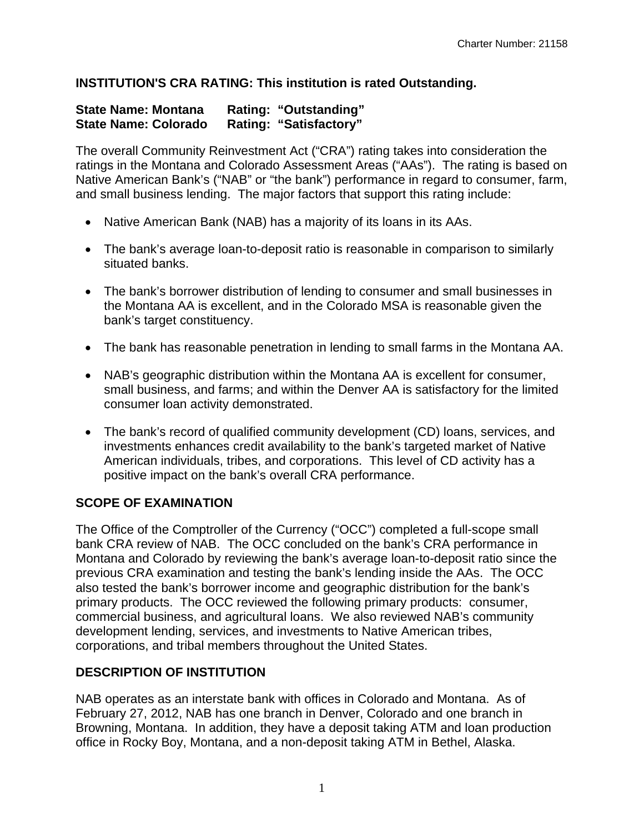### **INSTITUTION'S CRA RATING: This institution is rated Outstanding.**

#### **State Name: Montana Rating: "Outstanding" State Name: Colorado Rating: "Satisfactory"**

The overall Community Reinvestment Act ("CRA") rating takes into consideration the ratings in the Montana and Colorado Assessment Areas ("AAs"). The rating is based on Native American Bank's ("NAB" or "the bank") performance in regard to consumer, farm, and small business lending. The major factors that support this rating include:

- Native American Bank (NAB) has a majority of its loans in its AAs.
- The bank's average loan-to-deposit ratio is reasonable in comparison to similarly situated banks.
- The bank's borrower distribution of lending to consumer and small businesses in the Montana AA is excellent, and in the Colorado MSA is reasonable given the bank's target constituency.
- The bank has reasonable penetration in lending to small farms in the Montana AA.
- NAB's geographic distribution within the Montana AA is excellent for consumer, small business, and farms; and within the Denver AA is satisfactory for the limited consumer loan activity demonstrated.
- The bank's record of qualified community development (CD) loans, services, and investments enhances credit availability to the bank's targeted market of Native American individuals, tribes, and corporations. This level of CD activity has a positive impact on the bank's overall CRA performance.

# **SCOPE OF EXAMINATION**

The Office of the Comptroller of the Currency ("OCC") completed a full-scope small bank CRA review of NAB. The OCC concluded on the bank's CRA performance in Montana and Colorado by reviewing the bank's average loan-to-deposit ratio since the previous CRA examination and testing the bank's lending inside the AAs. The OCC also tested the bank's borrower income and geographic distribution for the bank's primary products. The OCC reviewed the following primary products: consumer, commercial business, and agricultural loans. We also reviewed NAB's community development lending, services, and investments to Native American tribes, corporations, and tribal members throughout the United States.

# **DESCRIPTION OF INSTITUTION**

NAB operates as an interstate bank with offices in Colorado and Montana. As of February 27, 2012, NAB has one branch in Denver, Colorado and one branch in Browning, Montana. In addition, they have a deposit taking ATM and loan production office in Rocky Boy, Montana, and a non-deposit taking ATM in Bethel, Alaska.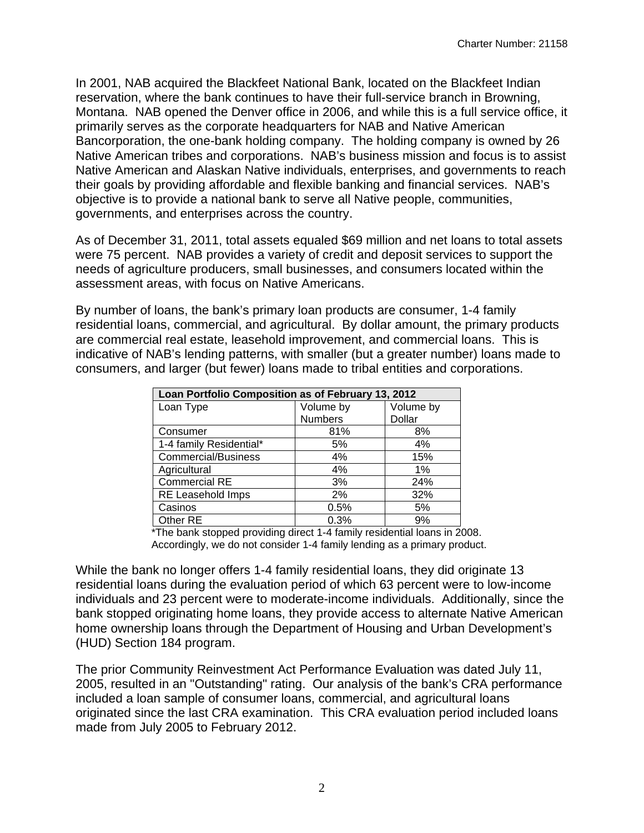In 2001, NAB acquired the Blackfeet National Bank, located on the Blackfeet Indian reservation, where the bank continues to have their full-service branch in Browning, Montana. NAB opened the Denver office in 2006, and while this is a full service office, it primarily serves as the corporate headquarters for NAB and Native American Bancorporation, the one-bank holding company. The holding company is owned by 26 Native American tribes and corporations. NAB's business mission and focus is to assist Native American and Alaskan Native individuals, enterprises, and governments to reach their goals by providing affordable and flexible banking and financial services. NAB's objective is to provide a national bank to serve all Native people, communities, governments, and enterprises across the country.

As of December 31, 2011, total assets equaled \$69 million and net loans to total assets were 75 percent. NAB provides a variety of credit and deposit services to support the needs of agriculture producers, small businesses, and consumers located within the assessment areas, with focus on Native Americans.

By number of loans, the bank's primary loan products are consumer, 1-4 family residential loans, commercial, and agricultural. By dollar amount, the primary products are commercial real estate, leasehold improvement, and commercial loans. This is indicative of NAB's lending patterns, with smaller (but a greater number) loans made to consumers, and larger (but fewer) loans made to tribal entities and corporations.

| Loan Portfolio Composition as of February 13, 2012 |                |           |
|----------------------------------------------------|----------------|-----------|
| Loan Type                                          | Volume by      | Volume by |
|                                                    | <b>Numbers</b> | Dollar    |
| Consumer                                           | 81%            | 8%        |
| 1-4 family Residential*                            | 5%             | 4%        |
| <b>Commercial/Business</b>                         | 4%             | 15%       |
| Agricultural                                       | 4%             | 1%        |
| <b>Commercial RE</b>                               | 3%             | 24%       |
| <b>RE Leasehold Imps</b>                           | 2%             | 32%       |
| Casinos                                            | 0.5%           | 5%        |
| Other RE                                           | 0.3%           | 9%        |

\*The bank stopped providing direct 1-4 family residential loans in 2008. Accordingly, we do not consider 1-4 family lending as a primary product.

While the bank no longer offers 1-4 family residential loans, they did originate 13 residential loans during the evaluation period of which 63 percent were to low-income individuals and 23 percent were to moderate-income individuals. Additionally, since the bank stopped originating home loans, they provide access to alternate Native American home ownership loans through the Department of Housing and Urban Development's (HUD) Section 184 program.

The prior Community Reinvestment Act Performance Evaluation was dated July 11, 2005, resulted in an "Outstanding" rating. Our analysis of the bank's CRA performance included a loan sample of consumer loans, commercial, and agricultural loans originated since the last CRA examination. This CRA evaluation period included loans made from July 2005 to February 2012.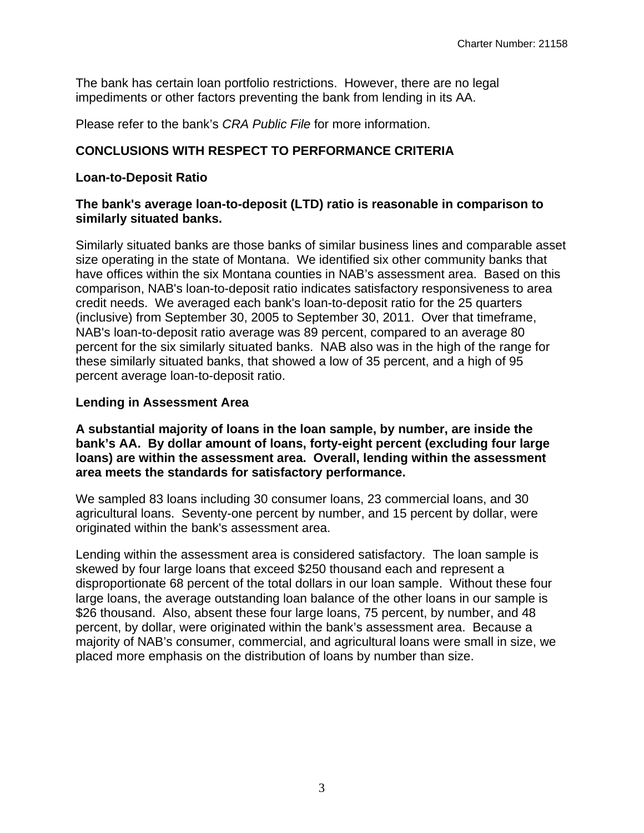The bank has certain loan portfolio restrictions. However, there are no legal impediments or other factors preventing the bank from lending in its AA.

Please refer to the bank's *CRA Public File* for more information.

# **CONCLUSIONS WITH RESPECT TO PERFORMANCE CRITERIA**

### **Loan-to-Deposit Ratio**

## **The bank's average loan-to-deposit (LTD) ratio is reasonable in comparison to similarly situated banks.**

Similarly situated banks are those banks of similar business lines and comparable asset size operating in the state of Montana. We identified six other community banks that have offices within the six Montana counties in NAB's assessment area. Based on this comparison, NAB's loan-to-deposit ratio indicates satisfactory responsiveness to area credit needs. We averaged each bank's loan-to-deposit ratio for the 25 quarters (inclusive) from September 30, 2005 to September 30, 2011. Over that timeframe, NAB's loan-to-deposit ratio average was 89 percent, compared to an average 80 percent for the six similarly situated banks. NAB also was in the high of the range for these similarly situated banks, that showed a low of 35 percent, and a high of 95 percent average loan-to-deposit ratio.

### **Lending in Assessment Area**

 **bank's AA. By dollar amount of loans, forty-eight percent (excluding four large area meets the standards for satisfactory performance. A substantial majority of loans in the loan sample, by number, are inside the loans) are within the assessment area. Overall, lending within the assessment** 

We sampled 83 loans including 30 consumer loans, 23 commercial loans, and 30 agricultural loans. Seventy-one percent by number, and 15 percent by dollar, were originated within the bank's assessment area.

Lending within the assessment area is considered satisfactory. The loan sample is skewed by four large loans that exceed \$250 thousand each and represent a disproportionate 68 percent of the total dollars in our loan sample. Without these four large loans, the average outstanding loan balance of the other loans in our sample is \$26 thousand. Also, absent these four large loans, 75 percent, by number, and 48 percent, by dollar, were originated within the bank's assessment area. Because a majority of NAB's consumer, commercial, and agricultural loans were small in size, we placed more emphasis on the distribution of loans by number than size.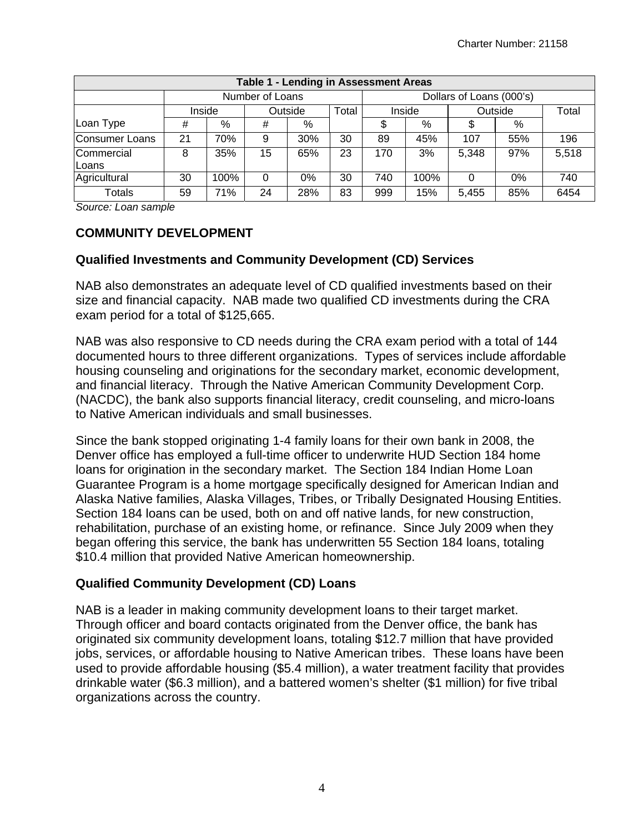|                     | Table 1 - Lending in Assessment Areas |                            |                 |     |    |                          |                   |       |     |       |
|---------------------|---------------------------------------|----------------------------|-----------------|-----|----|--------------------------|-------------------|-------|-----|-------|
|                     |                                       |                            | Number of Loans |     |    | Dollars of Loans (000's) |                   |       |     |       |
|                     |                                       | Outside<br>Total<br>Inside |                 |     |    |                          | Outside<br>Inside |       |     |       |
| Loan Type           | #                                     | %                          | #               | %   |    | \$                       | %                 | S     | %   |       |
| Consumer Loans      | 21                                    | 70%                        | 9               | 30% | 30 | 89                       | 45%               | 107   | 55% | 196   |
| Commercial<br>Loans | 8                                     | 35%                        | 15              | 65% | 23 | 170                      | 3%                | 5,348 | 97% | 5,518 |
| Agricultural        | 30                                    | 100%                       | 0               | 0%  | 30 | 740                      | 100%              |       | 0%  | 740   |
| <b>Totals</b>       | 59                                    | 71%                        | 24              | 28% | 83 | 999                      | 15%               | 5,455 | 85% | 6454  |

*Source: Loan sample* 

# **COMMUNITY DEVELOPMENT**

# **Qualified Investments and Community Development (CD) Services**

NAB also demonstrates an adequate level of CD qualified investments based on their size and financial capacity. NAB made two qualified CD investments during the CRA exam period for a total of \$125,665.

NAB was also responsive to CD needs during the CRA exam period with a total of 144 documented hours to three different organizations. Types of services include affordable housing counseling and originations for the secondary market, economic development, and financial literacy. Through the Native American Community Development Corp. (NACDC), the bank also supports financial literacy, credit counseling, and micro-loans to Native American individuals and small businesses.

Since the bank stopped originating 1-4 family loans for their own bank in 2008, the Denver office has employed a full-time officer to underwrite HUD Section 184 home loans for origination in the secondary market. The Section 184 Indian Home Loan Guarantee Program is a home mortgage specifically designed for American Indian and Alaska Native families, Alaska Villages, Tribes, or Tribally Designated Housing Entities. Section 184 loans can be used, both on and off native lands, for new construction, rehabilitation, purchase of an existing home, or refinance. Since July 2009 when they began offering this service, the bank has underwritten 55 Section 184 loans, totaling \$10.4 million that provided Native American homeownership.

# **Qualified Community Development (CD) Loans**

NAB is a leader in making community development loans to their target market. Through officer and board contacts originated from the Denver office, the bank has originated six community development loans, totaling \$12.7 million that have provided jobs, services, or affordable housing to Native American tribes. These loans have been used to provide affordable housing (\$5.4 million), a water treatment facility that provides drinkable water (\$6.3 million), and a battered women's shelter (\$1 million) for five tribal organizations across the country.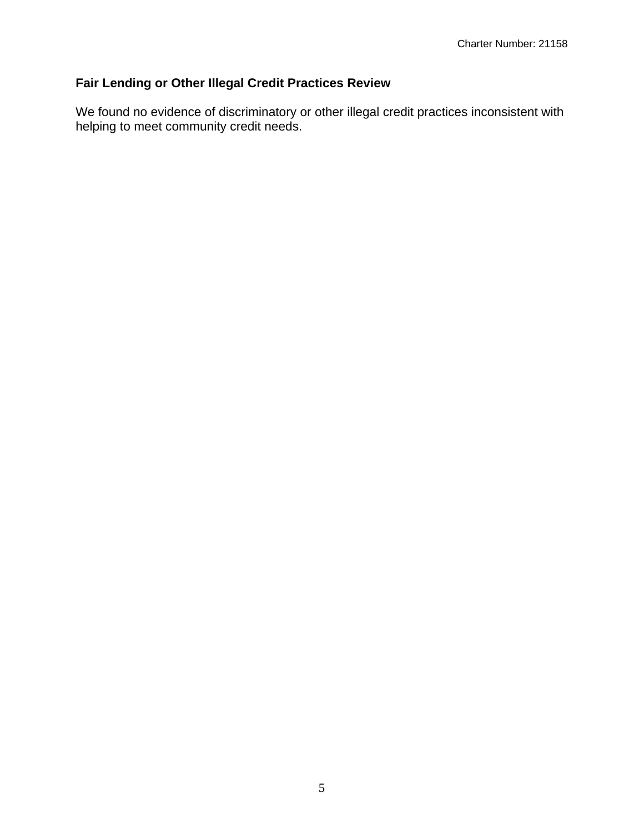# **Fair Lending or Other Illegal Credit Practices Review**

We found no evidence of discriminatory or other illegal credit practices inconsistent with helping to meet community credit needs.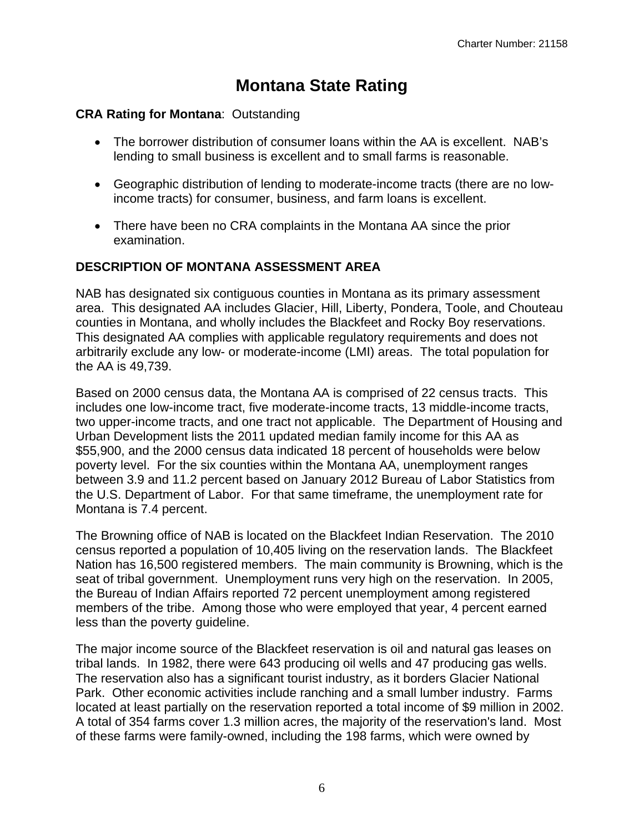# **Montana State Rating**

## **CRA Rating for Montana**: Outstanding

- The borrower distribution of consumer loans within the AA is excellent. NAB's lending to small business is excellent and to small farms is reasonable.
- Geographic distribution of lending to moderate-income tracts (there are no lowincome tracts) for consumer, business, and farm loans is excellent.
- There have been no CRA complaints in the Montana AA since the prior examination.

### **DESCRIPTION OF MONTANA ASSESSMENT AREA**

NAB has designated six contiguous counties in Montana as its primary assessment area. This designated AA includes Glacier, Hill, Liberty, Pondera, Toole, and Chouteau counties in Montana, and wholly includes the Blackfeet and Rocky Boy reservations. This designated AA complies with applicable regulatory requirements and does not arbitrarily exclude any low- or moderate-income (LMI) areas. The total population for the AA is 49,739.

Based on 2000 census data, the Montana AA is comprised of 22 census tracts. This includes one low-income tract, five moderate-income tracts, 13 middle-income tracts, two upper-income tracts, and one tract not applicable. The Department of Housing and Urban Development lists the 2011 updated median family income for this AA as \$55,900, and the 2000 census data indicated 18 percent of households were below poverty level. For the six counties within the Montana AA, unemployment ranges between 3.9 and 11.2 percent based on January 2012 Bureau of Labor Statistics from the U.S. Department of Labor. For that same timeframe, the unemployment rate for Montana is 7.4 percent.

The Browning office of NAB is located on the Blackfeet Indian Reservation. The 2010 census reported a population of 10,405 living on the reservation lands. The Blackfeet Nation has 16,500 registered members. The main community is Browning, which is the seat of tribal government. Unemployment runs very high on the reservation. In 2005, the Bureau of Indian Affairs reported 72 percent unemployment among registered members of the tribe. Among those who were employed that year, 4 percent earned less than the poverty guideline.

The major income source of the Blackfeet reservation is oil and natural gas leases on tribal lands. In 1982, there were 643 producing oil wells and 47 producing gas wells. The reservation also has a significant tourist industry, as it borders Glacier National Park. Other economic activities include ranching and a small lumber industry. Farms located at least partially on the reservation reported a total income of \$9 million in 2002. A total of 354 farms cover 1.3 million acres, the majority of the reservation's land. Most of these farms were family-owned, including the 198 farms, which were owned by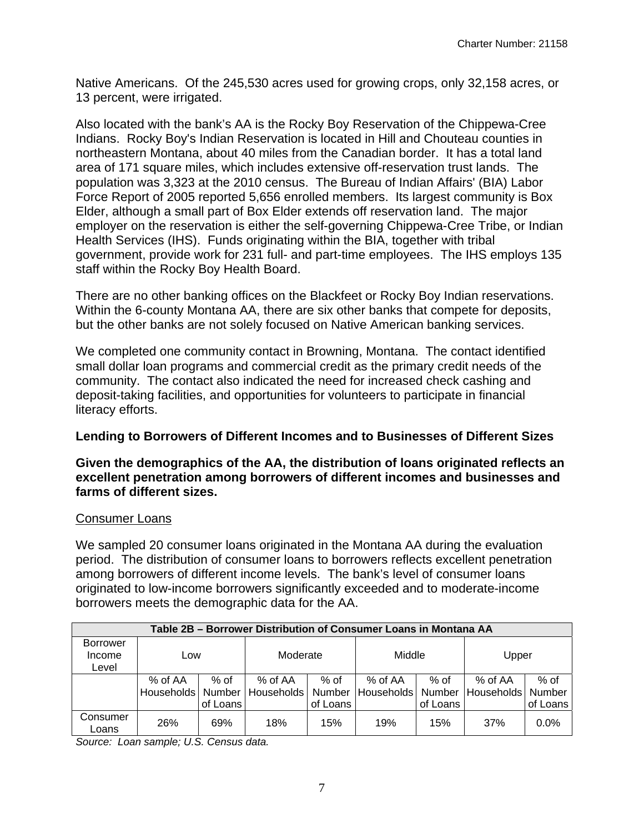Native Americans. Of the 245,530 acres used for growing crops, only 32,158 acres, or 13 percent, were irrigated.

Also located with the bank's AA is the Rocky Boy Reservation of the Chippewa-Cree Indians. Rocky Boy's Indian Reservation is located in Hill and Chouteau counties in northeastern Montana, about 40 miles from the Canadian border. It has a total land area of 171 square miles, which includes extensive off-reservation trust lands. The population was 3,323 at the 2010 census. The Bureau of Indian Affairs' (BIA) Labor Force Report of 2005 reported 5,656 enrolled members. Its largest community is Box Elder, although a small part of Box Elder extends off reservation land. The major employer on the reservation is either the self-governing Chippewa-Cree Tribe, or Indian Health Services (IHS). Funds originating within the BIA, together with tribal government, provide work for 231 full- and part-time employees. The IHS employs 135 staff within the Rocky Boy Health Board.

There are no other banking offices on the Blackfeet or Rocky Boy Indian reservations. Within the 6-county Montana AA, there are six other banks that compete for deposits, but the other banks are not solely focused on Native American banking services.

We completed one community contact in Browning, Montana. The contact identified small dollar loan programs and commercial credit as the primary credit needs of the community. The contact also indicated the need for increased check cashing and deposit-taking facilities, and opportunities for volunteers to participate in financial literacy efforts.

#### **Lending to Borrowers of Different Incomes and to Businesses of Different Sizes**

#### **Given the demographics of the AA, the distribution of loans originated reflects an excellent penetration among borrowers of different incomes and businesses and farms of different sizes.**

#### Consumer Loans

We sampled 20 consumer loans originated in the Montana AA during the evaluation period. The distribution of consumer loans to borrowers reflects excellent penetration among borrowers of different income levels. The bank's level of consumer loans originated to low-income borrowers significantly exceeded and to moderate-income borrowers meets the demographic data for the AA.

|                   | Table 2B – Borrower Distribution of Consumer Loans in Montana AA |          |            |          |            |          |            |          |  |
|-------------------|------------------------------------------------------------------|----------|------------|----------|------------|----------|------------|----------|--|
| <b>Borrower</b>   |                                                                  |          |            |          |            |          |            |          |  |
| Income            | LOW                                                              |          | Moderate   |          | Middle     |          | Upper      |          |  |
| Level             |                                                                  |          |            |          |            |          |            |          |  |
|                   | % of AA                                                          | $%$ of   | % of AA    | % of     | % of AA    | $%$ of   | % of AA    | $%$ of   |  |
|                   | Households I                                                     | Number   | Households | Number   | Households | Number   | Households | Number   |  |
|                   |                                                                  | of Loans |            | of Loans |            | of Loans |            | of Loans |  |
| Consumer<br>Loans | 26%                                                              | 69%      | 18%        | 15%      | 19%        | 15%      | 37%        | 0.0%     |  |

*Source: Loan sample; U.S. Census data.*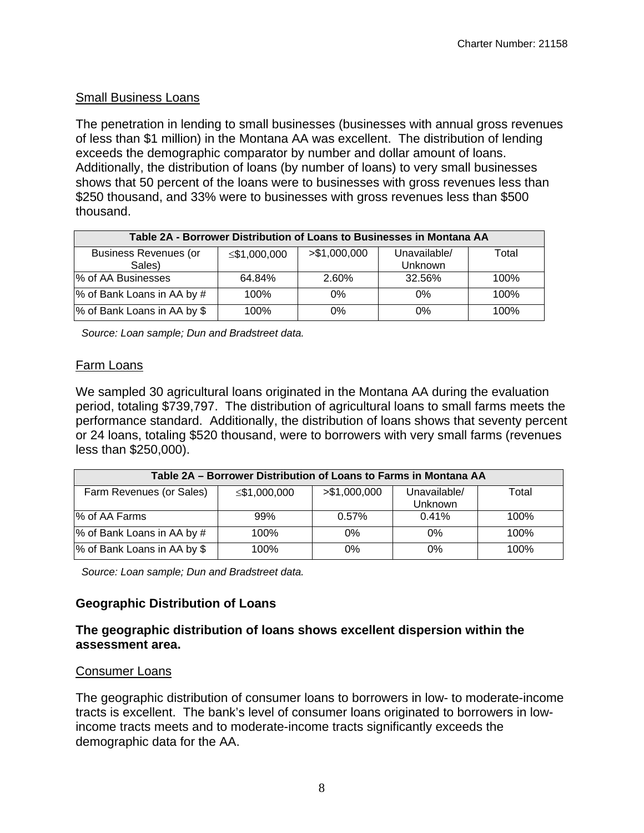### Small Business Loans

The penetration in lending to small businesses (businesses with annual gross revenues of less than \$1 million) in the Montana AA was excellent. The distribution of lending exceeds the demographic comparator by number and dollar amount of loans. Additionally, the distribution of loans (by number of loans) to very small businesses shows that 50 percent of the loans were to businesses with gross revenues less than \$250 thousand, and 33% were to businesses with gross revenues less than \$500 thousand.

| Table 2A - Borrower Distribution of Loans to Businesses in Montana AA |              |               |                                |       |  |  |  |  |
|-----------------------------------------------------------------------|--------------|---------------|--------------------------------|-------|--|--|--|--|
| <b>Business Revenues (or</b><br>Sales)                                | ≤\$1,000,000 | > \$1,000,000 | Unavailable/<br><b>Unknown</b> | Total |  |  |  |  |
| % of AA Businesses                                                    | 64.84%       | 2.60%         | 32.56%                         | 100%  |  |  |  |  |
| % of Bank Loans in AA by #                                            | 100%         | $0\%$         | $0\%$                          | 100%  |  |  |  |  |
| % of Bank Loans in AA by \$                                           | 100%         | $0\%$         | 0%                             | 100%  |  |  |  |  |

*Source: Loan sample; Dun and Bradstreet data.* 

#### Farm Loans

We sampled 30 agricultural loans originated in the Montana AA during the evaluation period, totaling \$739,797. The distribution of agricultural loans to small farms meets the performance standard. Additionally, the distribution of loans shows that seventy percent or 24 loans, totaling \$520 thousand, were to borrowers with very small farms (revenues less than \$250,000).

|                             | Table 2A – Borrower Distribution of Loans to Farms in Montana AA |               |                                |       |  |  |  |  |  |
|-----------------------------|------------------------------------------------------------------|---------------|--------------------------------|-------|--|--|--|--|--|
| Farm Revenues (or Sales)    | ≤\$1,000,000                                                     | > \$1,000,000 | Unavailable/<br><b>Unknown</b> | Total |  |  |  |  |  |
| % of AA Farms               | 99%                                                              | 0.57%         | 0.41%                          | 100%  |  |  |  |  |  |
| % of Bank Loans in AA by #  | 100%                                                             | 0%            | $0\%$                          | 100%  |  |  |  |  |  |
| % of Bank Loans in AA by \$ | 100%                                                             | 0%            | $0\%$                          | 100%  |  |  |  |  |  |

 *Source: Loan sample; Dun and Bradstreet data.* 

# **Geographic Distribution of Loans**

#### **assessment area. The geographic distribution of loans shows excellent dispersion within the**

#### Consumer Loans

The geographic distribution of consumer loans to borrowers in low- to moderate-income tracts is excellent. The bank's level of consumer loans originated to borrowers in lowincome tracts meets and to moderate-income tracts significantly exceeds the demographic data for the AA.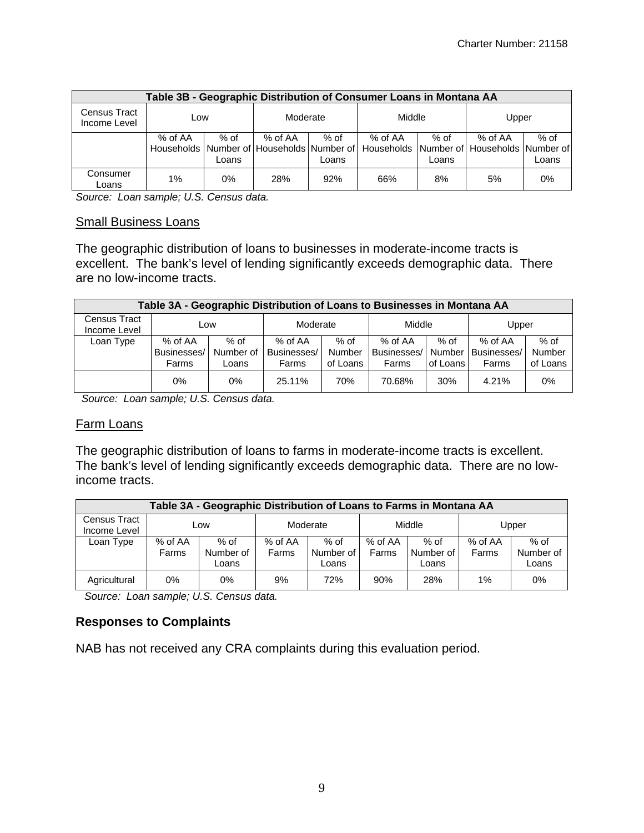|                              |         |       |           |        | Table 3B - Geographic Distribution of Consumer Loans in Montana AA                  |       |         |        |
|------------------------------|---------|-------|-----------|--------|-------------------------------------------------------------------------------------|-------|---------|--------|
| Census Tract<br>Income Level | Low     |       | Moderate  |        | Middle                                                                              |       | Upper   |        |
|                              | % of AA | % of  | $%$ of AA | $%$ of | % of AA                                                                             | % of  | % of AA | $%$ of |
|                              |         |       |           |        | Households Number of Households Number of Households Number of Households Number of |       |         |        |
|                              |         | Loans |           | Loans  |                                                                                     | Loans |         | Loans  |
| Consumer<br>Loans            | 1%      | 0%    | 28%       | 92%    | 66%                                                                                 | 8%    | 5%      | $0\%$  |

*Source: Loan sample; U.S. Census data.* 

#### Small Business Loans

The geographic distribution of loans to businesses in moderate-income tracts is excellent. The bank's level of lending significantly exceeds demographic data. There are no low-income tracts.

|                              | Table 3A - Geographic Distribution of Loans to Businesses in Montana AA |           |             |          |             |          |             |          |  |  |
|------------------------------|-------------------------------------------------------------------------|-----------|-------------|----------|-------------|----------|-------------|----------|--|--|
| Census Tract<br>Income Level |                                                                         | Low       |             | Moderate |             | Middle   | Upper       |          |  |  |
| Loan Type                    | % of AA                                                                 | $%$ of    | % of AA     | $%$ of   | % of AA     | % of     | % of AA     | $%$ of   |  |  |
|                              | Businesses/                                                             | Number of | Businesses/ | Number   | Businesses/ | Number I | Businesses/ | Number   |  |  |
|                              | Farms                                                                   | Loans     | Farms       | of Loans | Farms       | of Loans | Farms       | of Loans |  |  |
|                              | $0\%$                                                                   | 0%        | 25.11%      | 70%      | 70.68%      | 30%      | 4.21%       | 0%       |  |  |

 *Source: Loan sample; U.S. Census data.* 

#### Farm Loans

The geographic distribution of loans to farms in moderate-income tracts is excellent. The bank's level of lending significantly exceeds demographic data. There are no lowincome tracts.

|                                     | Table 3A - Geographic Distribution of Loans to Farms in Montana AA |                              |                    |                            |                  |                     |                  |                              |  |  |
|-------------------------------------|--------------------------------------------------------------------|------------------------------|--------------------|----------------------------|------------------|---------------------|------------------|------------------------------|--|--|
| <b>Census Tract</b><br>Income Level | Low                                                                |                              |                    | Moderate                   | Middle           |                     | Upper            |                              |  |  |
| Loan Type                           | % of AA<br>Farms                                                   | $%$ of<br>Number of<br>Loans | $%$ of AA<br>Farms | % of<br>Number of<br>Loans | % of AA<br>Farms | $%$ of<br>Number of | % of AA<br>Farms | $%$ of<br>Number of<br>Loans |  |  |
| Agricultural                        | 0%                                                                 | 0%                           | 9%                 | 72%                        | 90%              | Loans<br>28%        | 1%               | 0%                           |  |  |

 *Source: Loan sample; U.S. Census data.* 

#### **Responses to Complaints**

NAB has not received any CRA complaints during this evaluation period.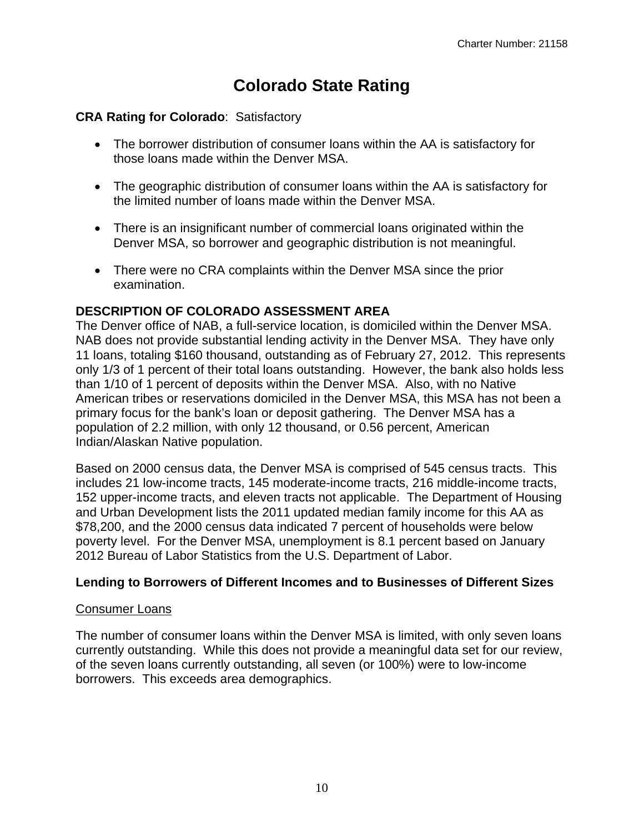# **Colorado State Rating**

# **CRA Rating for Colorado**: Satisfactory

- The borrower distribution of consumer loans within the AA is satisfactory for those loans made within the Denver MSA.
- The geographic distribution of consumer loans within the AA is satisfactory for the limited number of loans made within the Denver MSA.
- There is an insignificant number of commercial loans originated within the Denver MSA, so borrower and geographic distribution is not meaningful.
- There were no CRA complaints within the Denver MSA since the prior examination.

# **DESCRIPTION OF COLORADO ASSESSMENT AREA**

The Denver office of NAB, a full-service location, is domiciled within the Denver MSA. NAB does not provide substantial lending activity in the Denver MSA. They have only 11 loans, totaling \$160 thousand, outstanding as of February 27, 2012. This represents only 1/3 of 1 percent of their total loans outstanding. However, the bank also holds less than 1/10 of 1 percent of deposits within the Denver MSA. Also, with no Native American tribes or reservations domiciled in the Denver MSA, this MSA has not been a primary focus for the bank's loan or deposit gathering. The Denver MSA has a population of 2.2 million, with only 12 thousand, or 0.56 percent, American Indian/Alaskan Native population.

Based on 2000 census data, the Denver MSA is comprised of 545 census tracts. This includes 21 low-income tracts, 145 moderate-income tracts, 216 middle-income tracts, 152 upper-income tracts, and eleven tracts not applicable. The Department of Housing and Urban Development lists the 2011 updated median family income for this AA as \$78,200, and the 2000 census data indicated 7 percent of households were below poverty level. For the Denver MSA, unemployment is 8.1 percent based on January 2012 Bureau of Labor Statistics from the U.S. Department of Labor.

# **Lending to Borrowers of Different Incomes and to Businesses of Different Sizes**

# Consumer Loans

The number of consumer loans within the Denver MSA is limited, with only seven loans currently outstanding. While this does not provide a meaningful data set for our review, of the seven loans currently outstanding, all seven (or 100%) were to low-income borrowers. This exceeds area demographics.